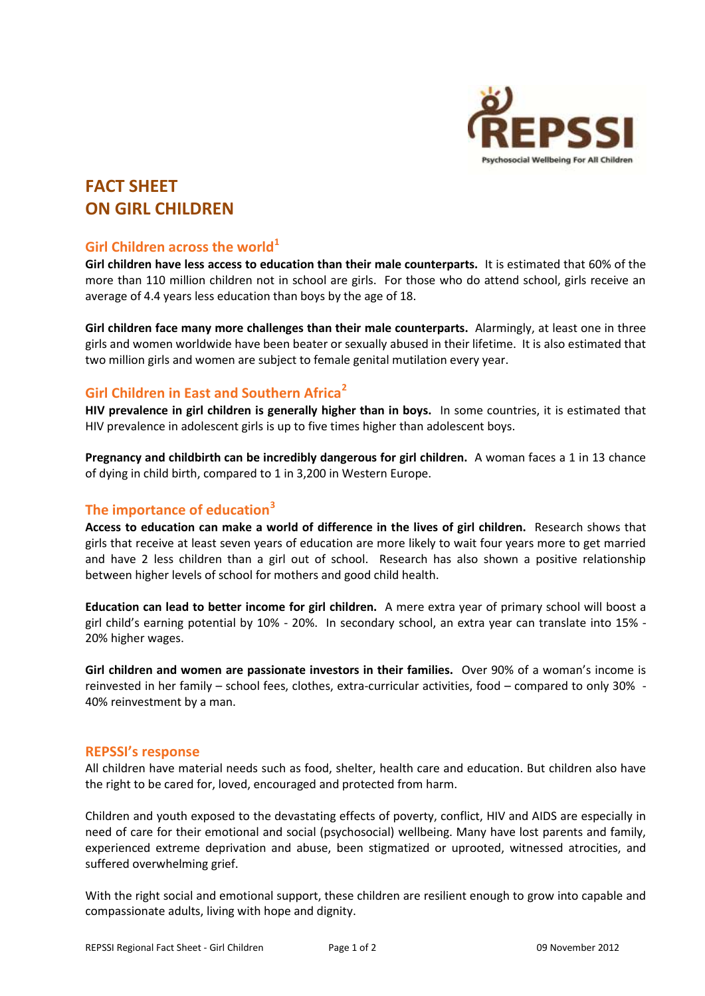

# **FACT SHEET ON GIRL CHILDREN**

## **Girl Children across the world<sup>1</sup>**

**Girl children have less access to education than their male counterparts.** It is estimated that 60% of the more than 110 million children not in school are girls. For those who do attend school, girls receive an average of 4.4 years less education than boys by the age of 18.

**Girl children face many more challenges than their male counterparts.** Alarmingly, at least one in three girls and women worldwide have been beater or sexually abused in their lifetime. It is also estimated that two million girls and women are subject to female genital mutilation every year.

### **Girl Children in East and Southern Africa<sup>2</sup>**

**HIV prevalence in girl children is generally higher than in boys.** In some countries, it is estimated that HIV prevalence in adolescent girls is up to five times higher than adolescent boys.

**Pregnancy and childbirth can be incredibly dangerous for girl children.** A woman faces a 1 in 13 chance of dying in child birth, compared to 1 in 3,200 in Western Europe.

## **The importance of education<sup>3</sup>**

**Access to education can make a world of difference in the lives of girl children.** Research shows that girls that receive at least seven years of education are more likely to wait four years more to get married and have 2 less children than a girl out of school. Research has also shown a positive relationship between higher levels of school for mothers and good child health.

**Education can lead to better income for girl children.** A mere extra year of primary school will boost a girl child's earning potential by 10% - 20%. In secondary school, an extra year can translate into 15% - 20% higher wages.

**Girl children and women are passionate investors in their families.** Over 90% of a woman's income is reinvested in her family – school fees, clothes, extra-curricular activities, food – compared to only 30% - 40% reinvestment by a man.

#### **REPSSI's response**

All children have material needs such as food, shelter, health care and education. But children also have the right to be cared for, loved, encouraged and protected from harm.

Children and youth exposed to the devastating effects of poverty, conflict, HIV and AIDS are especially in need of care for their emotional and social (psychosocial) wellbeing. Many have lost parents and family, experienced extreme deprivation and abuse, been stigmatized or uprooted, witnessed atrocities, and suffered overwhelming grief.

With the right social and emotional support, these children are resilient enough to grow into capable and compassionate adults, living with hope and dignity.